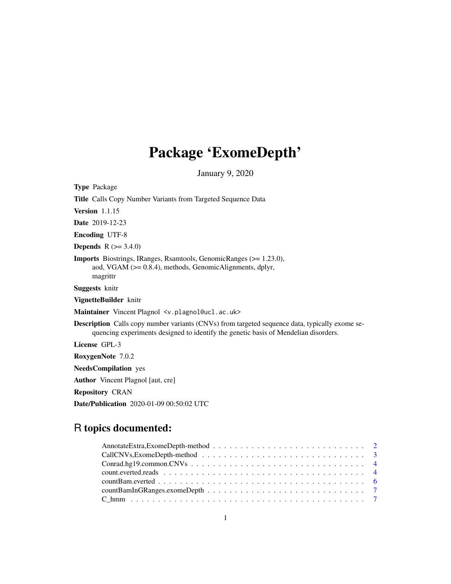# Package 'ExomeDepth'

January 9, 2020

Type Package Title Calls Copy Number Variants from Targeted Sequence Data Version 1.1.15 Date 2019-12-23 Encoding UTF-8 **Depends**  $R$  ( $>= 3.4.0$ ) Imports Biostrings, IRanges, Rsamtools, GenomicRanges (>= 1.23.0), aod, VGAM (>= 0.8.4), methods, GenomicAlignments, dplyr, magrittr Suggests knitr VignetteBuilder knitr Maintainer Vincent Plagnol <v.plagnol@ucl.ac.uk> Description Calls copy number variants (CNVs) from targeted sequence data, typically exome sequencing experiments designed to identify the genetic basis of Mendelian disorders. License GPL-3 RoxygenNote 7.0.2 NeedsCompilation yes Author Vincent Plagnol [aut, cre] Repository CRAN Date/Publication 2020-01-09 00:50:02 UTC

# R topics documented:

| $\text{Conrad.hg19}.\text{common.CNVs} \dots \dots \dots \dots \dots \dots \dots \dots \dots \dots \dots \dots \dots \dots \dots$ |  |
|-----------------------------------------------------------------------------------------------------------------------------------|--|
|                                                                                                                                   |  |
|                                                                                                                                   |  |
|                                                                                                                                   |  |
|                                                                                                                                   |  |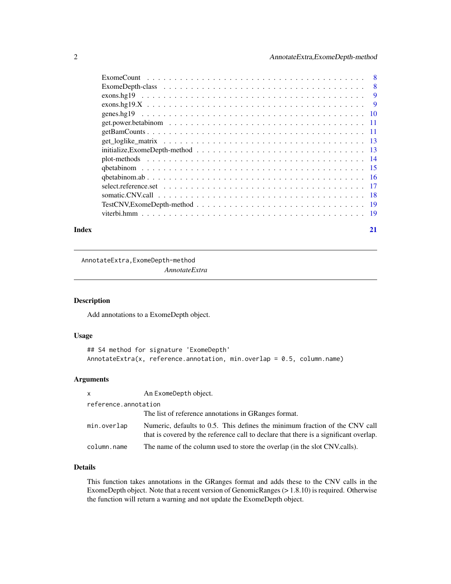<span id="page-1-0"></span>

|       | $initialize, ExomeDepth-method \dots \dots \dots \dots \dots \dots \dots \dots \dots \dots \dots \dots \dots \dots \dots \dots \dots \dots$ |    |
|-------|---------------------------------------------------------------------------------------------------------------------------------------------|----|
|       |                                                                                                                                             |    |
|       |                                                                                                                                             |    |
|       |                                                                                                                                             |    |
|       |                                                                                                                                             |    |
|       |                                                                                                                                             |    |
|       |                                                                                                                                             |    |
|       |                                                                                                                                             |    |
| Index |                                                                                                                                             | 21 |

AnnotateExtra,ExomeDepth-method *AnnotateExtra*

# Description

Add annotations to a ExomeDepth object.

#### Usage

```
## S4 method for signature 'ExomeDepth'
AnnotateExtra(x, reference.annotation, min.overlap = 0.5, column.name)
```
#### Arguments

| $\mathsf{x}$         | An ExomeDepth object.                                                                                                                                                |
|----------------------|----------------------------------------------------------------------------------------------------------------------------------------------------------------------|
| reference.annotation |                                                                                                                                                                      |
|                      | The list of reference annotations in GRanges format.                                                                                                                 |
| min.overlap          | Numeric, defaults to 0.5. This defines the minimum fraction of the CNV call<br>that is covered by the reference call to declare that there is a significant overlap. |
| column.name          | The name of the column used to store the overlap (in the slot CNV.calls).                                                                                            |

#### Details

This function takes annotations in the GRanges format and adds these to the CNV calls in the ExomeDepth object. Note that a recent version of GenomicRanges (> 1.8.10) is required. Otherwise the function will return a warning and not update the ExomeDepth object.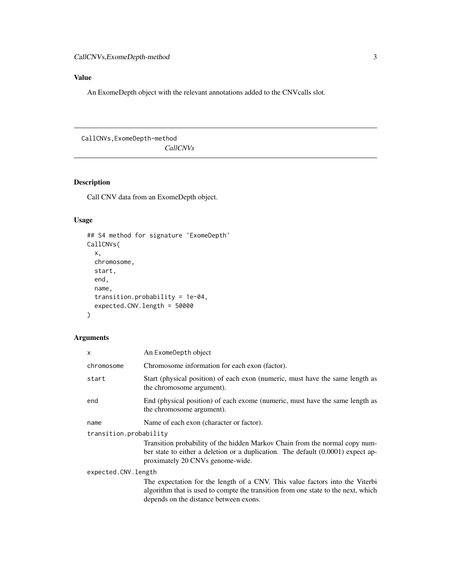# <span id="page-2-0"></span>Value

An ExomeDepth object with the relevant annotations added to the CNVcalls slot.

CallCNVs,ExomeDepth-method *CallCNVs*

# Description

Call CNV data from an ExomeDepth object.

# Usage

```
## S4 method for signature 'ExomeDepth'
CallCNVs(
  x,
 chromosome,
 start,
 end,
 name,
  transition.probability = 1e-04,
  expected.CNV.length = 50000
\mathcal{L}
```
# Arguments

| x                      | An ExomeDepth object                                                                                                                                                                                        |  |
|------------------------|-------------------------------------------------------------------------------------------------------------------------------------------------------------------------------------------------------------|--|
| chromosome             | Chromosome information for each exon (factor).                                                                                                                                                              |  |
| start                  | Start (physical position) of each exon (numeric, must have the same length as<br>the chromosome argument).                                                                                                  |  |
| end                    | End (physical position) of each exome (numeric, must have the same length as<br>the chromosome argument).                                                                                                   |  |
| name                   | Name of each exon (character or factor).                                                                                                                                                                    |  |
| transition.probability |                                                                                                                                                                                                             |  |
|                        | Transition probability of the hidden Markov Chain from the normal copy num-<br>ber state to either a deletion or a duplication. The default $(0.0001)$ expect ap-<br>proximately 20 CNVs genome-wide.       |  |
| expected.CNV.length    |                                                                                                                                                                                                             |  |
|                        | The expectation for the length of a CNV. This value factors into the Viterbi<br>algorithm that is used to compte the transition from one state to the next, which<br>depends on the distance between exons. |  |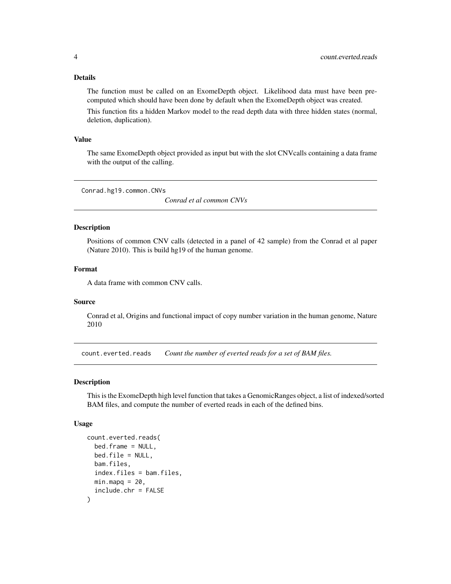#### <span id="page-3-0"></span>Details

The function must be called on an ExomeDepth object. Likelihood data must have been precomputed which should have been done by default when the ExomeDepth object was created.

This function fits a hidden Markov model to the read depth data with three hidden states (normal, deletion, duplication).

#### Value

The same ExomeDepth object provided as input but with the slot CNVcalls containing a data frame with the output of the calling.

Conrad.hg19.common.CNVs

*Conrad et al common CNVs*

#### Description

Positions of common CNV calls (detected in a panel of 42 sample) from the Conrad et al paper (Nature 2010). This is build hg19 of the human genome.

#### Format

A data frame with common CNV calls.

#### Source

Conrad et al, Origins and functional impact of copy number variation in the human genome, Nature 2010

count.everted.reads *Count the number of everted reads for a set of BAM files.*

#### Description

This is the ExomeDepth high level function that takes a GenomicRanges object, a list of indexed/sorted BAM files, and compute the number of everted reads in each of the defined bins.

#### Usage

```
count.everted.reads(
  bed.frame = NULL,
 bed.file = NULL,
 bam.files,
  index.files = bam.files,
 minmapq = 20,
  include.chr = FALSE
)
```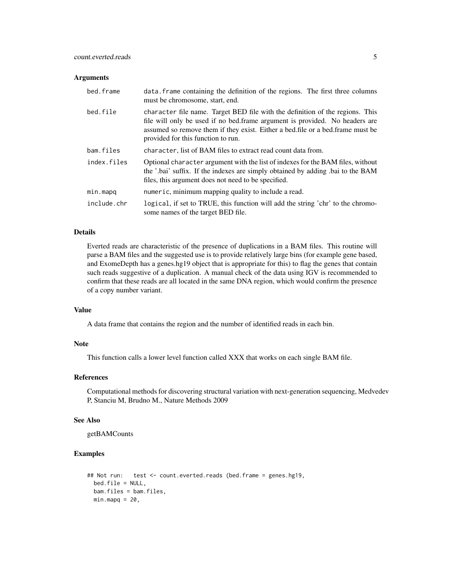#### **Arguments**

| bed.frame   | data. frame containing the definition of the regions. The first three columns<br>must be chromosome, start, end.                                                                                                                                                                       |
|-------------|----------------------------------------------------------------------------------------------------------------------------------------------------------------------------------------------------------------------------------------------------------------------------------------|
| bed.file    | character file name. Target BED file with the definition of the regions. This<br>file will only be used if no bed.frame argument is provided. No headers are<br>assumed so remove them if they exist. Either a bed. file or a bed. frame must be<br>provided for this function to run. |
| bam.files   | character, list of BAM files to extract read count data from.                                                                                                                                                                                                                          |
| index.files | Optional character argument with the list of indexes for the BAM files, without<br>the '.bai' suffix. If the indexes are simply obtained by adding .bai to the BAM<br>files, this argument does not need to be specified.                                                              |
| min.mapq    | numeric, minimum mapping quality to include a read.                                                                                                                                                                                                                                    |
| include.chr | logical, if set to TRUE, this function will add the string 'chr' to the chromo-<br>some names of the target BED file.                                                                                                                                                                  |

#### Details

Everted reads are characteristic of the presence of duplications in a BAM files. This routine will parse a BAM files and the suggested use is to provide relatively large bins (for example gene based, and ExomeDepth has a genes.hg19 object that is appropriate for this) to flag the genes that contain such reads suggestive of a duplication. A manual check of the data using IGV is recommended to confirm that these reads are all located in the same DNA region, which would confirm the presence of a copy number variant.

# Value

A data frame that contains the region and the number of identified reads in each bin.

#### Note

This function calls a lower level function called XXX that works on each single BAM file.

#### References

Computational methods for discovering structural variation with next-generation sequencing, Medvedev P, Stanciu M, Brudno M., Nature Methods 2009

#### See Also

getBAMCounts

#### Examples

```
## Not run: test <- count.everted.reads (bed.frame = genes.hg19,
 bed.file = NULL,
 bam.files = bam.files,
 minmapq = 20,
```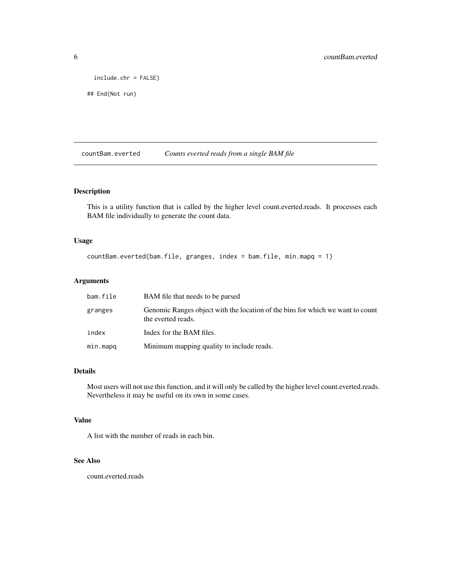```
include.chr = FALSE)
```

```
## End(Not run)
```
countBam.everted *Counts everted reads from a single BAM file*

#### Description

This is a utility function that is called by the higher level count.everted.reads. It processes each BAM file individually to generate the count data.

#### Usage

```
countBam.everted(bam.file, granges, index = bam.file, min.mapq = 1)
```
#### Arguments

| bam.file | BAM file that needs to be parsed                                                                     |
|----------|------------------------------------------------------------------------------------------------------|
| granges  | Genomic Ranges object with the location of the bins for which we want to count<br>the everted reads. |
| index    | Index for the BAM files.                                                                             |
| min.mapq | Minimum mapping quality to include reads.                                                            |

#### Details

Most users will not use this function, and it will only be called by the higher level count.everted.reads. Nevertheless it may be useful on its own in some cases.

#### Value

A list with the number of reads in each bin.

#### See Also

count.everted.reads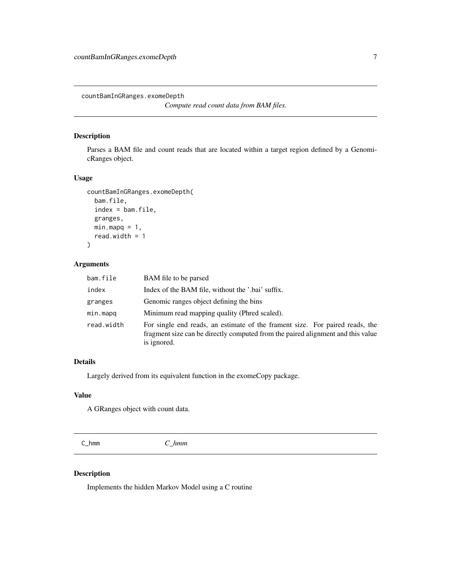<span id="page-6-0"></span>countBamInGRanges.exomeDepth

*Compute read count data from BAM files.*

#### Description

Parses a BAM file and count reads that are located within a target region defined by a GenomicRanges object.

#### Usage

```
countBamInGRanges.exomeDepth(
  bam.file,
  index = bam.file,
  granges,
  minmapq = 1,
  read.width = 1
\mathcal{L}
```
# Arguments

| bam.file   | BAM file to be parsed                                                                                                                                                          |
|------------|--------------------------------------------------------------------------------------------------------------------------------------------------------------------------------|
| index      | Index of the BAM file, without the '.bai' suffix.                                                                                                                              |
| granges    | Genomic ranges object defining the bins                                                                                                                                        |
| min.mapq   | Minimum read mapping quality (Phred scaled).                                                                                                                                   |
| read.width | For single end reads, an estimate of the frament size. For paired reads, the<br>fragment size can be directly computed from the paired alignment and this value<br>is ignored. |

#### Details

Largely derived from its equivalent function in the exomeCopy package.

#### Value

A GRanges object with count data.

C\_hmm *C\_hmm*

# Description

Implements the hidden Markov Model using a C routine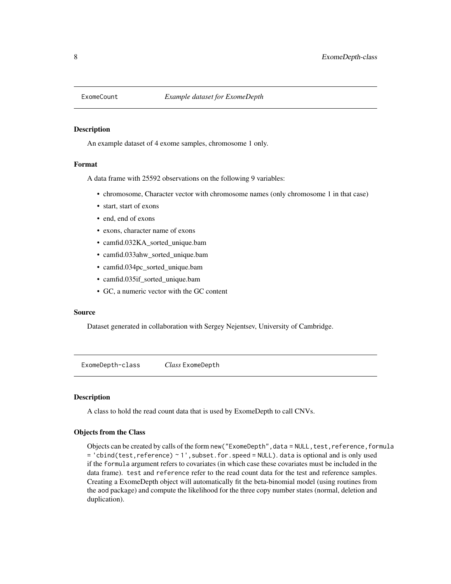<span id="page-7-0"></span>

#### Description

An example dataset of 4 exome samples, chromosome 1 only.

#### Format

A data frame with 25592 observations on the following 9 variables:

- chromosome, Character vector with chromosome names (only chromosome 1 in that case)
- start, start of exons
- end, end of exons
- exons, character name of exons
- camfid.032KA\_sorted\_unique.bam
- camfid.033ahw\_sorted\_unique.bam
- camfid.034pc\_sorted\_unique.bam
- camfid.035if\_sorted\_unique.bam
- GC, a numeric vector with the GC content

#### Source

Dataset generated in collaboration with Sergey Nejentsev, University of Cambridge.

ExomeDepth-class *Class* ExomeDepth

#### Description

A class to hold the read count data that is used by ExomeDepth to call CNVs.

#### Objects from the Class

Objects can be created by calls of the form new ("ExomeDepth", data = NULL, test, reference, formula = 'cbind(test,reference) ~ 1',subset.for.speed = NULL). data is optional and is only used if the formula argument refers to covariates (in which case these covariates must be included in the data frame). test and reference refer to the read count data for the test and reference samples. Creating a ExomeDepth object will automatically fit the beta-binomial model (using routines from the aod package) and compute the likelihood for the three copy number states (normal, deletion and duplication).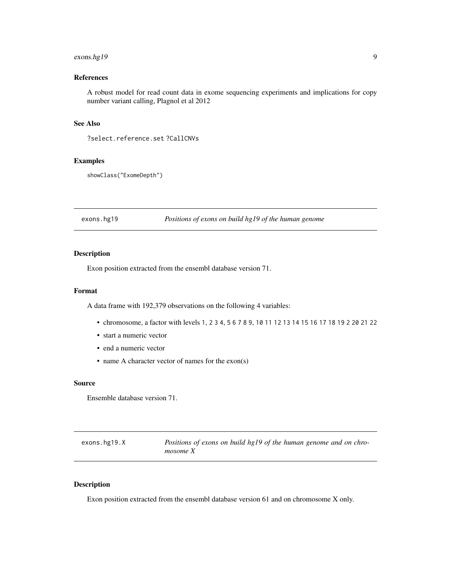#### <span id="page-8-0"></span>exons.hg19 9

#### References

A robust model for read count data in exome sequencing experiments and implications for copy number variant calling, Plagnol et al 2012

#### See Also

?select.reference.set ?CallCNVs

#### Examples

```
showClass("ExomeDepth")
```
exons.hg19 *Positions of exons on build hg19 of the human genome*

#### Description

Exon position extracted from the ensembl database version 71.

#### Format

A data frame with 192,379 observations on the following 4 variables:

- chromosome, a factor with levels 1, 2 3 4, 5 6 7 8 9, 10 11 12 13 14 15 16 17 18 19 2 20 21 22
- start a numeric vector
- end a numeric vector
- name A character vector of names for the exon(s)

#### Source

Ensemble database version 71.

| exons.hg19.X | Positions of exons on build hg19 of the human genome and on chro- |
|--------------|-------------------------------------------------------------------|
|              | mosome X                                                          |

#### Description

Exon position extracted from the ensembl database version 61 and on chromosome X only.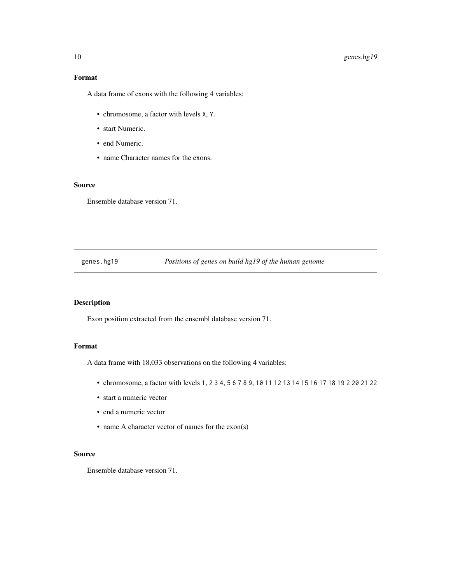# Format

A data frame of exons with the following 4 variables:

- chromosome, a factor with levels X, Y.
- start Numeric.
- end Numeric.
- name Character names for the exons.

#### Source

Ensemble database version 71.

#### genes.hg19 *Positions of genes on build hg19 of the human genome*

#### Description

Exon position extracted from the ensembl database version 71.

#### Format

A data frame with 18,033 observations on the following 4 variables:

- chromosome, a factor with levels 1, 2 3 4, 5 6 7 8 9, 10 11 12 13 14 15 16 17 18 19 2 20 21 22
- start a numeric vector
- end a numeric vector
- name A character vector of names for the exon(s)

#### Source

Ensemble database version 71.

<span id="page-9-0"></span>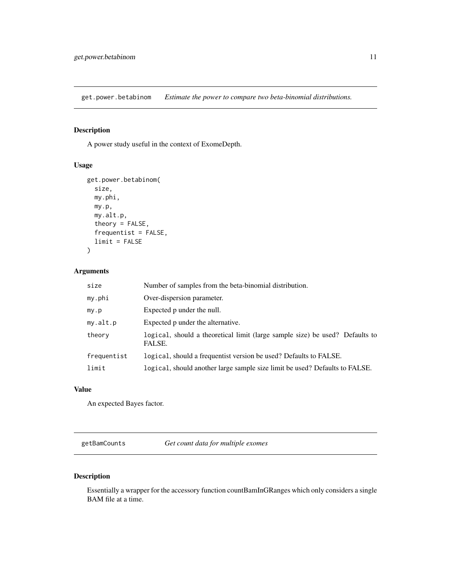<span id="page-10-0"></span>get.power.betabinom *Estimate the power to compare two beta-binomial distributions.*

# Description

A power study useful in the context of ExomeDepth.

#### Usage

```
get.power.betabinom(
  size,
 my.phi,
 my.p,
 my.alt.p,
  theory = FALSE,
  frequentist = FALSE,
  limit = FALSE
)
```
# Arguments

| size        | Number of samples from the beta-binomial distribution.                                 |
|-------------|----------------------------------------------------------------------------------------|
| my.phi      | Over-dispersion parameter.                                                             |
| my.p        | Expected p under the null.                                                             |
| my.alt.p    | Expected p under the alternative.                                                      |
| theory      | logical, should a theoretical limit (large sample size) be used? Defaults to<br>FALSE. |
| frequentist | logical, should a frequentist version be used? Defaults to FALSE.                      |
| limit       | logical, should another large sample size limit be used? Defaults to FALSE.            |

#### Value

An expected Bayes factor.

getBamCounts *Get count data for multiple exomes*

# Description

Essentially a wrapper for the accessory function countBamInGRanges which only considers a single BAM file at a time.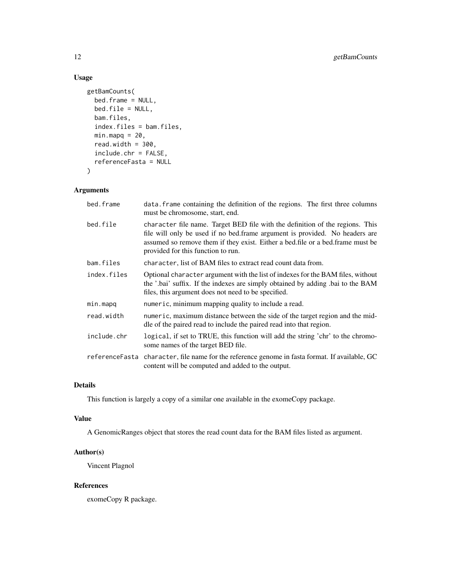# Usage

```
getBamCounts(
 bed.frame = NULL,
 bed.file = NULL,
 bam.files,
  index.files = bam.files,
 minmapq = 20,
 read.width = 300,
 include.chr = FALSE,
 referenceFasta = NULL
)
```
# Arguments

| bed.frame      | data. Frame containing the definition of the regions. The first three columns<br>must be chromosome, start, end.                                                                                                                                                                     |
|----------------|--------------------------------------------------------------------------------------------------------------------------------------------------------------------------------------------------------------------------------------------------------------------------------------|
| bed.file       | character file name. Target BED file with the definition of the regions. This<br>file will only be used if no bed.frame argument is provided. No headers are<br>assumed so remove them if they exist. Either a bed.file or a bed.frame must be<br>provided for this function to run. |
| bam.files      | character, list of BAM files to extract read count data from.                                                                                                                                                                                                                        |
| index.files    | Optional character argument with the list of indexes for the BAM files, without<br>the '.bai' suffix. If the indexes are simply obtained by adding .bai to the BAM<br>files, this argument does not need to be specified.                                                            |
| min.mapq       | numeric, minimum mapping quality to include a read.                                                                                                                                                                                                                                  |
| read.width     | numeric, maximum distance between the side of the target region and the mid-<br>dle of the paired read to include the paired read into that region.                                                                                                                                  |
| include.chr    | logical, if set to TRUE, this function will add the string 'chr' to the chromo-<br>some names of the target BED file.                                                                                                                                                                |
| referenceFasta | character, file name for the reference genome in fasta format. If available, GC<br>content will be computed and added to the output.                                                                                                                                                 |

#### Details

This function is largely a copy of a similar one available in the exomeCopy package.

#### Value

A GenomicRanges object that stores the read count data for the BAM files listed as argument.

#### Author(s)

Vincent Plagnol

#### References

exomeCopy R package.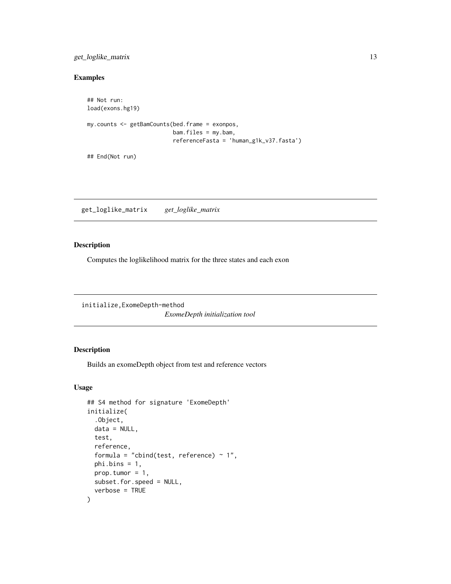#### <span id="page-12-0"></span>get\_loglike\_matrix 13

# Examples

```
## Not run:
load(exons.hg19)
my.counts <- getBamCounts(bed.frame = exonpos,
                          bam.files = my.bam,
                          referenceFasta = 'human_g1k_v37.fasta')
## End(Not run)
```
get\_loglike\_matrix *get\_loglike\_matrix*

#### Description

Computes the loglikelihood matrix for the three states and each exon

initialize,ExomeDepth-method *ExomeDepth initialization tool*

# Description

Builds an exomeDepth object from test and reference vectors

#### Usage

```
## S4 method for signature 'ExomeDepth'
initialize(
  .Object,
 data = NULL,
  test,
  reference,
  formula = "cbind(test, reference) \sim 1",
 phi.bins = 1,
 prop.tumor = 1,subset.for.speed = NULL,
  verbose = TRUE
\mathcal{E}
```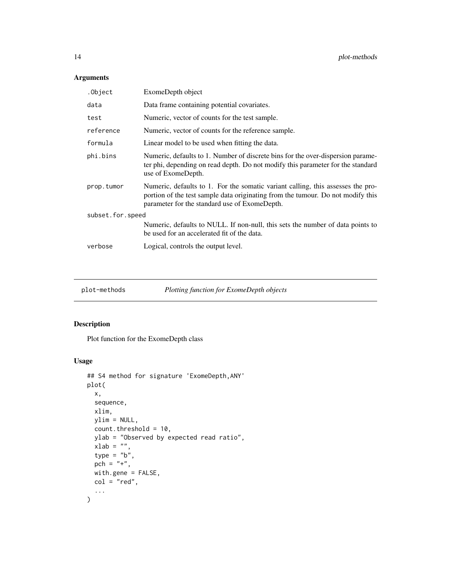# <span id="page-13-0"></span>Arguments

| .Object          | ExomeDepth object                                                                                                                                                                                                   |  |
|------------------|---------------------------------------------------------------------------------------------------------------------------------------------------------------------------------------------------------------------|--|
| data             | Data frame containing potential covariates.                                                                                                                                                                         |  |
| test             | Numeric, vector of counts for the test sample.                                                                                                                                                                      |  |
| reference        | Numeric, vector of counts for the reference sample.                                                                                                                                                                 |  |
| formula          | Linear model to be used when fitting the data.                                                                                                                                                                      |  |
| phi.bins         | Numeric, defaults to 1. Number of discrete bins for the over-dispersion parame-<br>ter phi, depending on read depth. Do not modify this parameter for the standard<br>use of ExomeDepth.                            |  |
| prop.tumor       | Numeric, defaults to 1. For the somatic variant calling, this assesses the pro-<br>portion of the test sample data originating from the tumour. Do not modify this<br>parameter for the standard use of ExomeDepth. |  |
| subset.for.speed |                                                                                                                                                                                                                     |  |
|                  | Numeric, defaults to NULL. If non-null, this sets the number of data points to<br>be used for an accelerated fit of the data.                                                                                       |  |
| verbose          | Logical, controls the output level.                                                                                                                                                                                 |  |

plot-methods *Plotting function for ExomeDepth objects*

# Description

Plot function for the ExomeDepth class

# Usage

```
## S4 method for signature 'ExomeDepth,ANY'
plot(
 x,
 sequence,
 xlim,
 ylim = NULL,
 count.threshold = 10,
 ylab = "Observed by expected read ratio",
 xlab = ",
  type = "b",
 pch = "+",
 with.gene = FALSE,
 col = "red",...
\mathcal{L}
```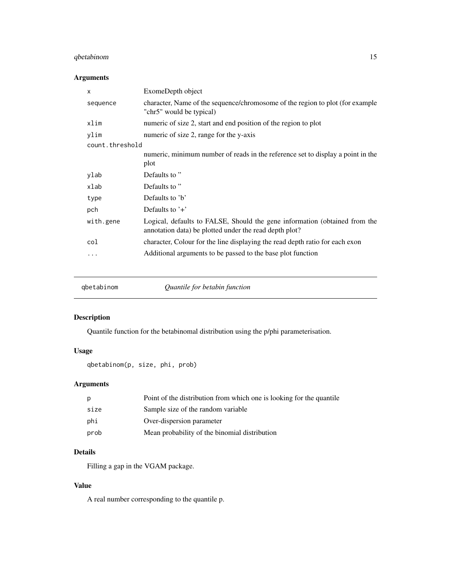#### <span id="page-14-0"></span>qbetabinom 15

# Arguments

| X               | ExomeDepth object                                                                                                                    |
|-----------------|--------------------------------------------------------------------------------------------------------------------------------------|
| sequence        | character, Name of the sequence/chromosome of the region to plot (for example<br>"chr5" would be typical)                            |
| xlim            | numeric of size 2, start and end position of the region to plot                                                                      |
| ylim            | numeric of size 2, range for the y-axis                                                                                              |
| count.threshold |                                                                                                                                      |
|                 | numeric, minimum number of reads in the reference set to display a point in the                                                      |
|                 | plot                                                                                                                                 |
| ylab            | Defaults to"                                                                                                                         |
| xlab            | Defaults to"                                                                                                                         |
| type            | Defaults to 'b'                                                                                                                      |
| pch             | Defaults to $'+$                                                                                                                     |
| with.gene       | Logical, defaults to FALSE, Should the gene information (obtained from the<br>annotation data) be plotted under the read depth plot? |
| col             | character, Colour for the line displaying the read depth ratio for each exon                                                         |
| .               | Additional arguments to be passed to the base plot function                                                                          |
|                 |                                                                                                                                      |

qbetabinom *Quantile for betabin function*

# Description

Quantile function for the betabinomal distribution using the p/phi parameterisation.

# Usage

```
qbetabinom(p, size, phi, prob)
```
#### Arguments

| p    | Point of the distribution from which one is looking for the quantile |
|------|----------------------------------------------------------------------|
| size | Sample size of the random variable                                   |
| phi  | Over-dispersion parameter                                            |
| prob | Mean probability of the binomial distribution                        |

# Details

Filling a gap in the VGAM package.

#### Value

A real number corresponding to the quantile p.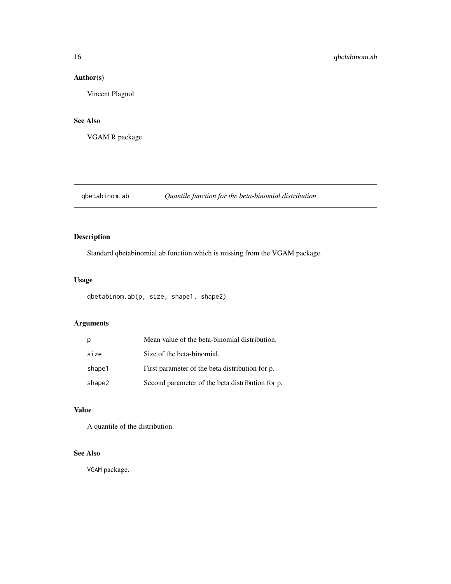# <span id="page-15-0"></span>Author(s)

Vincent Plagnol

#### See Also

VGAM R package.

# qbetabinom.ab *Quantile function for the beta-binomial distribution*

# Description

Standard qbetabinomial.ab function which is missing from the VGAM package.

#### Usage

```
qbetabinom.ab(p, size, shape1, shape2)
```
#### Arguments

| p      | Mean value of the beta-binomial distribution.    |
|--------|--------------------------------------------------|
| size   | Size of the beta-binomial.                       |
| shape1 | First parameter of the beta distribution for p.  |
| shape2 | Second parameter of the beta distribution for p. |

# Value

A quantile of the distribution.

#### See Also

VGAM package.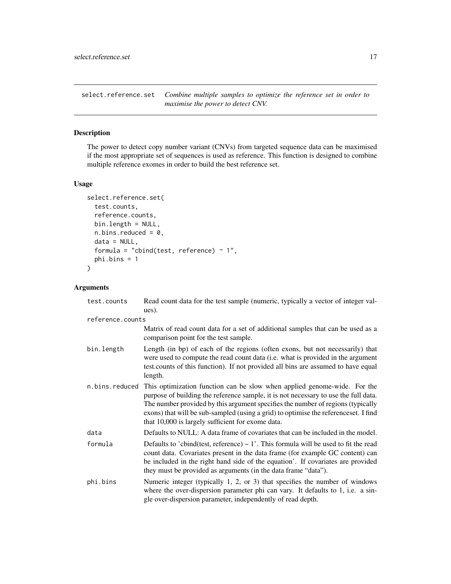<span id="page-16-0"></span>select.reference.set *Combine multiple samples to optimize the reference set in order to maximise the power to detect CNV.*

# Description

The power to detect copy number variant (CNVs) from targeted sequence data can be maximised if the most appropriate set of sequences is used as reference. This function is designed to combine multiple reference exomes in order to build the best reference set.

#### Usage

```
select.reference.set(
  test.counts,
  reference.counts,
 bin.length = NULL,
  n.bins.reduced = 0,
  data = NULL,
  formula = "cbind(test, reference) \sim 1",
 phi.bins = 1
\mathcal{L}
```
#### Arguments

| test.counts      | Read count data for the test sample (numeric, typically a vector of integer val-<br>ues).                                                                                                                                                                                                                                                                                                      |  |
|------------------|------------------------------------------------------------------------------------------------------------------------------------------------------------------------------------------------------------------------------------------------------------------------------------------------------------------------------------------------------------------------------------------------|--|
| reference.counts |                                                                                                                                                                                                                                                                                                                                                                                                |  |
|                  | Matrix of read count data for a set of additional samples that can be used as a<br>comparison point for the test sample.                                                                                                                                                                                                                                                                       |  |
| bin.length       | Length (in bp) of each of the regions (often exons, but not necessarily) that<br>were used to compute the read count data (i.e. what is provided in the argument<br>test.counts of this function). If not provided all bins are assumed to have equal<br>length.                                                                                                                               |  |
| n.bins.reduced   | This optimization function can be slow when applied genome-wide. For the<br>purpose of building the reference sample, it is not necessary to use the full data.<br>The number provided by this argument specifies the number of regions (typically<br>exons) that will be sub-sampled (using a grid) to optimise the referenceset. I find<br>that 10,000 is largely sufficient for exome data. |  |
| data             | Defaults to NULL: A data frame of covariates that can be included in the model.                                                                                                                                                                                                                                                                                                                |  |
| formula          | Defaults to 'cbind(test, reference) $\sim$ 1'. This formula will be used to fit the read<br>count data. Covariates present in the data frame (for example GC content) can<br>be included in the right hand side of the equation'. If covariates are provided<br>they must be provided as arguments (in the data frame "data").                                                                 |  |
| phi.bins         | Numeric integer (typically 1, 2, or 3) that specifies the number of windows<br>where the over-dispersion parameter phi can vary. It defaults to 1, i.e. a sin-<br>gle over-dispersion parameter, independently of read depth.                                                                                                                                                                  |  |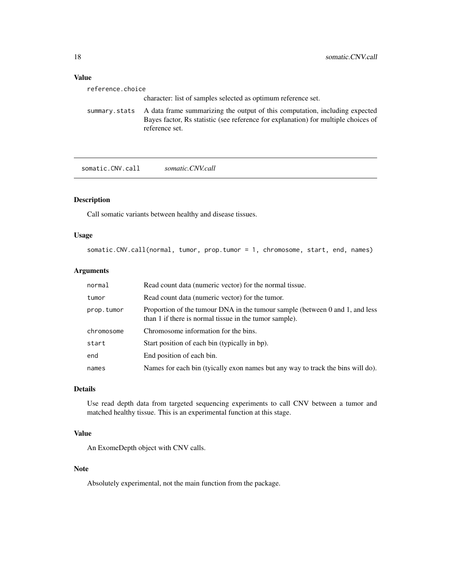# <span id="page-17-0"></span>Value

| reference.choice |                                                                                                                                                                                                   |
|------------------|---------------------------------------------------------------------------------------------------------------------------------------------------------------------------------------------------|
|                  | character: list of samples selected as optimum reference set.                                                                                                                                     |
|                  | summary stats A data frame summarizing the output of this computation, including expected<br>Bayes factor, Rs statistic (see reference for explanation) for multiple choices of<br>reference set. |

somatic.CNV.call *somatic.CNV.call*

# Description

Call somatic variants between healthy and disease tissues.

#### Usage

```
somatic.CNV.call(normal, tumor, prop.tumor = 1, chromosome, start, end, names)
```
#### Arguments

| normal     | Read count data (numeric vector) for the normal tissue.                                                                                |
|------------|----------------------------------------------------------------------------------------------------------------------------------------|
| tumor      | Read count data (numeric vector) for the tumor.                                                                                        |
| prop.tumor | Proportion of the tumour DNA in the tumour sample (between 0 and 1, and less<br>than 1 if there is normal tissue in the tumor sample). |
| chromosome | Chromosome information for the bins.                                                                                                   |
| start      | Start position of each bin (typically in bp).                                                                                          |
| end        | End position of each bin.                                                                                                              |
| names      | Names for each bin (tyically exon names but any way to track the bins will do).                                                        |

# Details

Use read depth data from targeted sequencing experiments to call CNV between a tumor and matched healthy tissue. This is an experimental function at this stage.

#### Value

An ExomeDepth object with CNV calls.

#### Note

Absolutely experimental, not the main function from the package.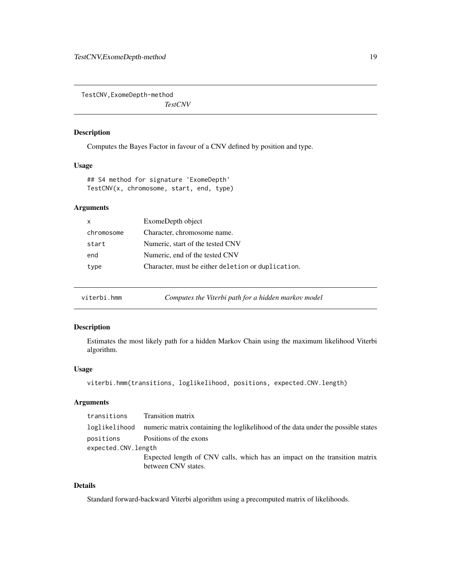<span id="page-18-0"></span>TestCNV,ExomeDepth-method

*TestCNV*

#### Description

Computes the Bayes Factor in favour of a CNV defined by position and type.

# Usage

## S4 method for signature 'ExomeDepth' TestCNV(x, chromosome, start, end, type)

#### Arguments

| $\mathsf{x}$ | ExomeDepth object                                  |
|--------------|----------------------------------------------------|
| chromosome   | Character, chromosome name.                        |
| start        | Numeric, start of the tested CNV                   |
| end          | Numeric, end of the tested CNV                     |
| type         | Character, must be either deletion or duplication. |

viterbi.hmm *Computes the Viterbi path for a hidden markov model*

#### Description

Estimates the most likely path for a hidden Markov Chain using the maximum likelihood Viterbi algorithm.

#### Usage

viterbi.hmm(transitions, loglikelihood, positions, expected.CNV.length)

#### Arguments

| transitions         | <b>Transition matrix</b>                                                                          |
|---------------------|---------------------------------------------------------------------------------------------------|
| loglikelihood       | numeric matrix containing the loglikelihood of the data under the possible states                 |
| positions           | Positions of the exons                                                                            |
| expected.CNV.length |                                                                                                   |
|                     | Expected length of CNV calls, which has an impact on the transition matrix<br>between CNV states. |
|                     |                                                                                                   |

# Details

Standard forward-backward Viterbi algorithm using a precomputed matrix of likelihoods.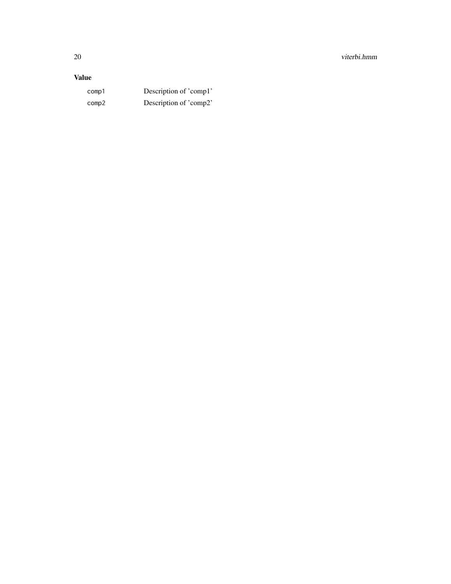# Value

comp1 Description of 'comp1' comp2 Description of 'comp2'